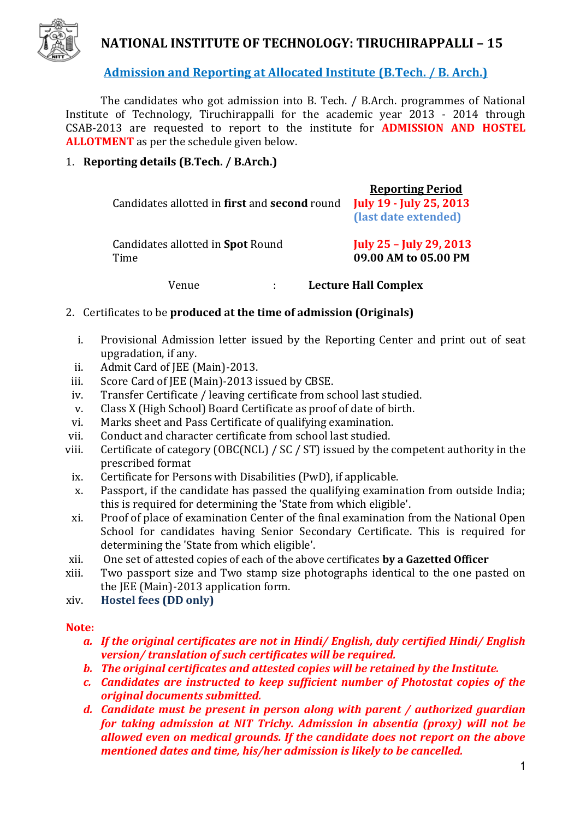

# **NATIONAL INSTITUTE OF TECHNOLOGY: TIRUCHIRAPPALLI – 15**

**Admission and Reporting at Allocated Institute (B.Tech. / B. Arch.)**

The candidates who got admission into B. Tech. / B.Arch. programmes of National Institute of Technology, Tiruchirappalli for the academic year 2013 - 2014 through CSAB-2013 are requested to report to the institute for **ADMISSION AND HOSTEL ALLOTMENT** as per the schedule given below.

# 1. **Reporting details (B.Tech. / B.Arch.)**

| Candidates allotted in first and second round | <b>Reporting Period</b><br><b>July 19 - July 25, 2013</b><br>(last date extended) |                             |
|-----------------------------------------------|-----------------------------------------------------------------------------------|-----------------------------|
| Candidates allotted in Spot Round<br>Time     | <b>July 25 - July 29, 2013</b><br>09.00 AM to 05.00 PM                            |                             |
| Venue                                         | $\cdot$                                                                           | <b>Lecture Hall Complex</b> |

- 2. Certificates to be **produced at the time of admission (Originals)** 
	- i. Provisional Admission letter issued by the Reporting Center and print out of seat upgradation, if any.
- ii. Admit Card of JEE (Main)-2013.
- iii. Score Card of JEE (Main)-2013 issued by CBSE.
- iv. Transfer Certificate / leaving certificate from school last studied.
- v. Class X (High School) Board Certificate as proof of date of birth.
- vi. Marks sheet and Pass Certificate of qualifying examination.
- vii. Conduct and character certificate from school last studied.
- viii. Certificate of category (OBC(NCL) / SC / ST) issued by the competent authority in the prescribed format
- ix. Certificate for Persons with Disabilities (PwD), if applicable.
- x. Passport, if the candidate has passed the qualifying examination from outside India; this is required for determining the 'State from which eligible'.
- xi. Proof of place of examination Center of the final examination from the National Open School for candidates having Senior Secondary Certificate. This is required for determining the 'State from which eligible'.
- xii. One set of attested copies of each of the above certificates **by a Gazetted Officer**
- xiii. Two passport size and Two stamp size photographs identical to the one pasted on the JEE (Main)-2013 application form.
- xiv. **Hostel fees (DD only)**

#### **Note:**

- *a. If the original certificates are not in Hindi/ English, duly certified Hindi/ English version/ translation of such certificates will be required.*
- *b. The original certificates and attested copies will be retained by the Institute.*
- *c. Candidates are instructed to keep sufficient number of Photostat copies of the original documents submitted.*
- *d. Candidate must be present in person along with parent / authorized guardian for taking admission at NIT Trichy. Admission in absentia (proxy) will not be allowed even on medical grounds. If the candidate does not report on the above mentioned dates and time, his/her admission is likely to be cancelled.*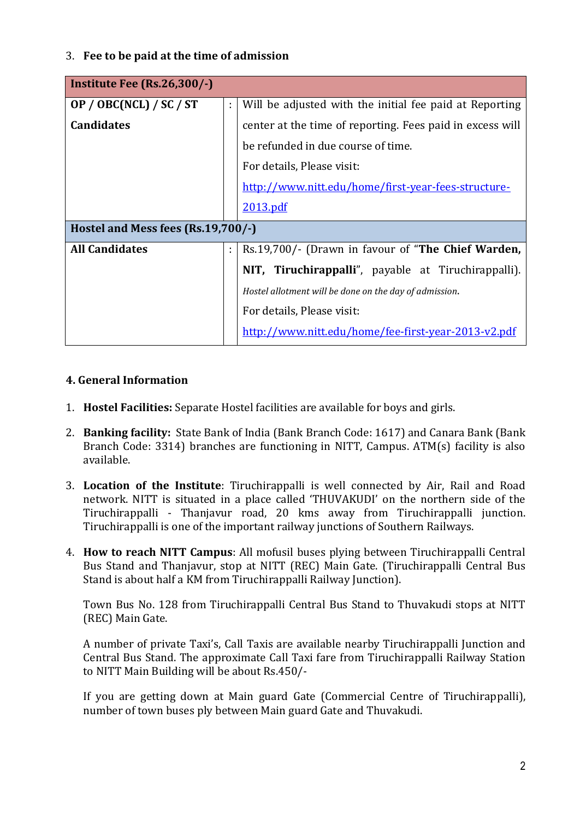# 3. **Fee to be paid at the time of admission**

| Institute Fee $(Rs.26,300/-)$      |    |                                                           |  |  |
|------------------------------------|----|-----------------------------------------------------------|--|--|
| OP / OBC(NCL) / SC / ST            | ÷. | Will be adjusted with the initial fee paid at Reporting   |  |  |
| <b>Candidates</b>                  |    | center at the time of reporting. Fees paid in excess will |  |  |
|                                    |    | be refunded in due course of time.                        |  |  |
|                                    |    | For details, Please visit:                                |  |  |
|                                    |    | http://www.nitt.edu/home/first-year-fees-structure-       |  |  |
|                                    |    | 2013.pdf                                                  |  |  |
| Hostel and Mess fees (Rs.19,700/-) |    |                                                           |  |  |
| <b>All Candidates</b>              | ÷. | Rs.19,700/- (Drawn in favour of "The Chief Warden,        |  |  |
|                                    |    | NIT, Tiruchirappalli", payable at Tiruchirappalli).       |  |  |
|                                    |    | Hostel allotment will be done on the day of admission.    |  |  |
|                                    |    | For details, Please visit:                                |  |  |
|                                    |    | http://www.nitt.edu/home/fee-first-year-2013-v2.pdf       |  |  |

#### **4. General Information**

- 1. **Hostel Facilities:** Separate Hostel facilities are available for boys and girls.
- 2. **Banking facility:** State Bank of India (Bank Branch Code: 1617) and Canara Bank (Bank Branch Code: 3314) branches are functioning in NITT, Campus. ATM(s) facility is also available.
- 3. **Location of the Institute**: Tiruchirappalli is well connected by Air, Rail and Road network. NITT is situated in a place called 'THUVAKUDI' on the northern side of the Tiruchirappalli - Thanjavur road, 20 kms away from Tiruchirappalli junction. Tiruchirappalli is one of the important railway junctions of Southern Railways.
- 4. **How to reach NITT Campus**: All mofusil buses plying between Tiruchirappalli Central Bus Stand and Thanjavur, stop at NITT (REC) Main Gate. (Tiruchirappalli Central Bus Stand is about half a KM from Tiruchirappalli Railway Junction).

Town Bus No. 128 from Tiruchirappalli Central Bus Stand to Thuvakudi stops at NITT (REC) Main Gate.

A number of private Taxi's, Call Taxis are available nearby Tiruchirappalli Junction and Central Bus Stand. The approximate Call Taxi fare from Tiruchirappalli Railway Station to NITT Main Building will be about Rs.450/-

If you are getting down at Main guard Gate (Commercial Centre of Tiruchirappalli), number of town buses ply between Main guard Gate and Thuvakudi.